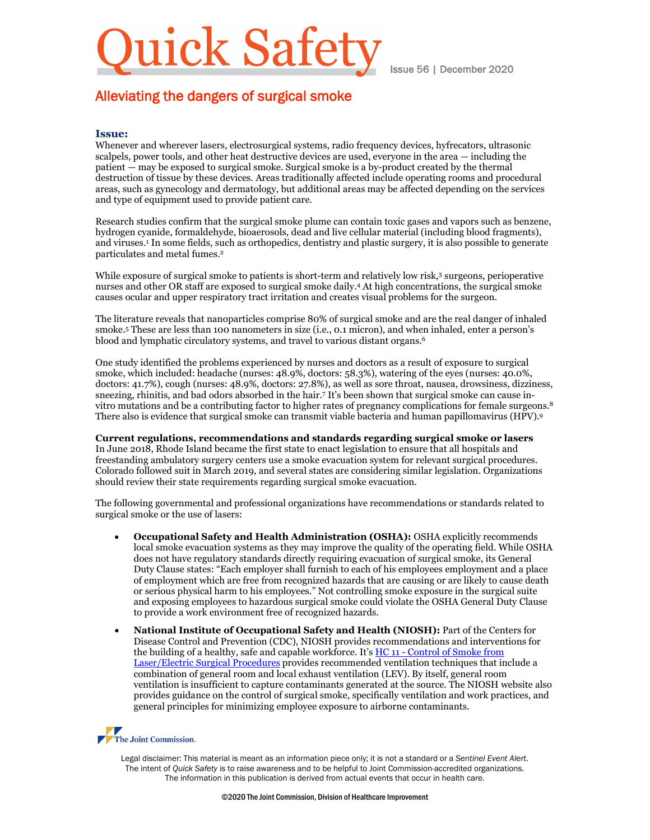# lick Safety

Issue 56 | December 2020

## Alleviating the dangers of surgical smoke

## **Issue:**

Whenever and wherever lasers, electrosurgical systems, radio frequency devices, hyfrecators, ultrasonic scalpels, power tools, and other heat destructive devices are used, everyone in the area — including the patient — may be exposed to surgical smoke. Surgical smoke is a by-product created by the thermal destruction of tissue by these devices. Areas traditionally affected include operating rooms and procedural areas, such as gynecology and dermatology, but additional areas may be affected depending on the services and type of equipment used to provide patient care.

Research studies confirm that the surgical smoke plume can contain toxic gases and vapors such as benzene, hydrogen cyanide, formaldehyde, bioaerosols, dead and live cellular material (including blood fragments), and viruses.1 In some fields, such as orthopedics, dentistry and plastic surgery, it is also possible to generate particulates and metal fumes.2

While exposure of surgical smoke to patients is short-term and relatively low risk,<sup>3</sup> surgeons, perioperative nurses and other OR staff are exposed to surgical smoke daily.4 At high concentrations, the surgical smoke causes ocular and upper respiratory tract irritation and creates visual problems for the surgeon.

The literature reveals that nanoparticles comprise 80% of surgical smoke and are the real danger of inhaled smoke.5 These are less than 100 nanometers in size (i.e., 0.1 micron), and when inhaled, enter a person's blood and lymphatic circulatory systems, and travel to various distant organs.<sup>6</sup>

One study identified the problems experienced by nurses and doctors as a result of exposure to surgical smoke, which included: headache (nurses: 48.9%, doctors: 58.3%), watering of the eyes (nurses: 40.0%, doctors: 41.7%), cough (nurses: 48.9%, doctors: 27.8%), as well as sore throat, nausea, drowsiness, dizziness, sneezing, rhinitis, and bad odors absorbed in the hair. <sup>7</sup> It's been shown that surgical smoke can cause invitro mutations and be a contributing factor to higher rates of pregnancy complications for female surgeons.8 There also is evidence that surgical smoke can transmit viable bacteria and human papillomavirus (HPV).9

**Current regulations, recommendations and standards regarding surgical smoke or lasers** In June 2018, Rhode Island became the first state to enact legislation to ensure that all hospitals and freestanding ambulatory surgery centers use a smoke evacuation system for relevant surgical procedures. Colorado followed suit in March 2019, and several states are considering similar legislation. Organizations should review their state requirements regarding surgical smoke evacuation.

The following governmental and professional organizations have recommendations or standards related to surgical smoke or the use of lasers:

- **Occupational Safety and Health Administration (OSHA):** OSHA explicitly recommends local smoke evacuation systems as they may improve the quality of the operating field. While OSHA does not have regulatory standards directly requiring evacuation of surgical smoke, its General Duty Clause states: "Each employer shall furnish to each of his employees employment and a place of employment which are free from recognized hazards that are causing or are likely to cause death or serious physical harm to his employees." Not controlling smoke exposure in the surgical suite and exposing employees to hazardous surgical smoke could violate the OSHA General Duty Clause to provide a work environment free of recognized hazards.
- **National Institute of Occupational Safety and Health (NIOSH):** Part of the Centers for Disease Control and Prevention (CDC), NIOSH provides recommendations and interventions for the building of a healthy, safe and capable workforce. It's HC 11 - [Control of Smoke from](https://www.cdc.gov/niosh/docs/hazardcontrol/hc11.html)  [Laser/Electric Surgical Procedures](https://www.cdc.gov/niosh/docs/hazardcontrol/hc11.html) provides recommended ventilation techniques that include a combination of general room and local exhaust ventilation (LEV). By itself, general room ventilation is insufficient to capture contaminants generated at the source. The NIOSH website also provides guidance on the control of surgical smoke, specifically ventilation and work practices, and general principles for minimizing employee exposure to airborne contaminants.

## The Joint Commission.

Legal disclaimer: This material is meant as an information piece only; it is not a standard or a *Sentinel Event Alert*. The intent of *Quick Safety* is to raise awareness and to be helpful to Joint Commission-accredited organizations. The information in this publication is derived from actual events that occur in health care.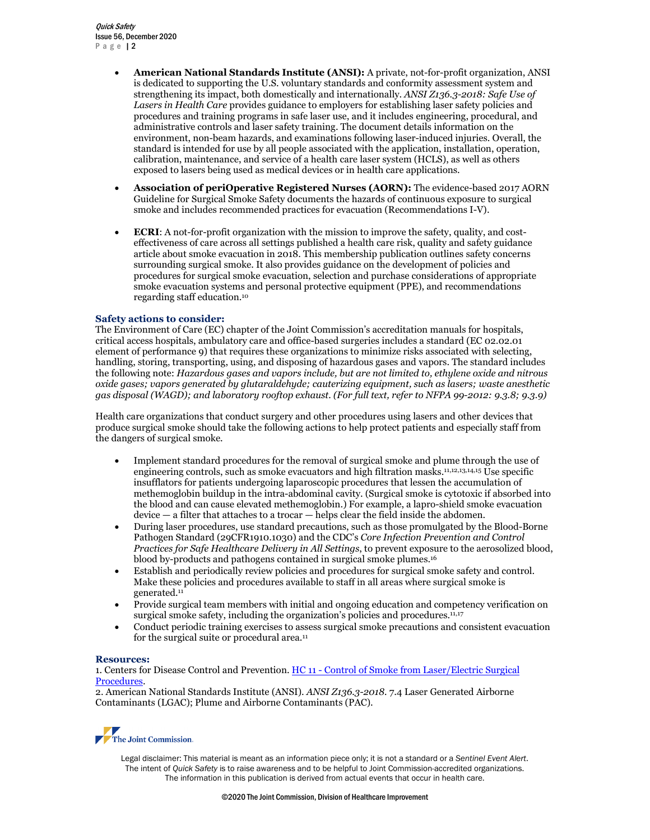Quick Safety Issue 56, December 2020 Page 12

- **American National Standards Institute (ANSI):** A private, not-for-profit organization, ANSI is dedicated to supporting the U.S. voluntary standards and conformity assessment system and strengthening its impact, both domestically and internationally. *ANSI Z136.3-2018: Safe Use of Lasers in Health Care* provides guidance to employers for establishing laser safety policies and procedures and training programs in safe laser use, and it includes engineering, procedural, and administrative controls and laser safety training. The document details information on the environment, non-beam hazards, and examinations following laser-induced injuries. Overall, the standard is intended for use by all people associated with the application, installation, operation, calibration, maintenance, and service of a health care laser system (HCLS), as well as others exposed to lasers being used as medical devices or in health care applications.
- **Association of periOperative Registered Nurses (AORN):** The evidence-based 2017 AORN Guideline for Surgical Smoke Safety documents the hazards of continuous exposure to surgical smoke and includes recommended practices for evacuation (Recommendations I-V).
- **ECRI**: A not-for-profit organization with the mission to improve the safety, quality, and costeffectiveness of care across all settings published a health care risk, quality and safety guidance article about smoke evacuation in 2018. This membership publication outlines safety concerns surrounding surgical smoke. It also provides guidance on the development of policies and procedures for surgical smoke evacuation, selection and purchase considerations of appropriate smoke evacuation systems and personal protective equipment (PPE), and recommendations regarding staff education. 10

### **Safety actions to consider:**

The Environment of Care (EC) chapter of the Joint Commission's accreditation manuals for hospitals, critical access hospitals, ambulatory care and office-based surgeries includes a standard (EC 02.02.01 element of performance 9) that requires these organizations to minimize risks associated with selecting, handling, storing, transporting, using, and disposing of hazardous gases and vapors. The standard includes the following note: *Hazardous gases and vapors include, but are not limited to, ethylene oxide and nitrous oxide gases; vapors generated by glutaraldehyde; cauterizing equipment, such as lasers; waste anesthetic gas disposal (WAGD); and laboratory rooftop exhaust. (For full text, refer to NFPA 99-2012: 9.3.8; 9.3.9)*

Health care organizations that conduct surgery and other procedures using lasers and other devices that produce surgical smoke should take the following actions to help protect patients and especially staff from the dangers of surgical smoke.

- Implement standard procedures for the removal of surgical smoke and plume through the use of engineering controls, such as smoke evacuators and high filtration masks.11,12,13,14,15 Use specific insufflators for patients undergoing laparoscopic procedures that lessen the accumulation of methemoglobin buildup in the intra-abdominal cavity. (Surgical smoke is cytotoxic if absorbed into the blood and can cause elevated methemoglobin.) For example, a lapro-shield smoke evacuation device — a filter that attaches to a trocar — helps clear the field inside the abdomen.
- During laser procedures, use standard precautions, such as those promulgated by the Blood-Borne Pathogen Standard (29CFR1910.1030) and the CDC's *Core Infection Prevention and Control Practices for Safe Healthcare Delivery in All Settings*, to prevent exposure to the aerosolized blood, blood by-products and pathogens contained in surgical smoke plumes.16
- Establish and periodically review policies and procedures for surgical smoke safety and control. Make these policies and procedures available to staff in all areas where surgical smoke is generated. 11
- Provide surgical team members with initial and ongoing education and competency verification on surgical smoke safety, including the organization's policies and procedures.<sup>11,17</sup>
- Conduct periodic training exercises to assess surgical smoke precautions and consistent evacuation for the surgical suite or procedural area.<sup>11</sup>

### **Resources:**

1. Centers for Disease Control and Prevention. HC 11 - Control of Smoke from Laser/Electric Surgical [Procedures.](https://www.cdc.gov/niosh/docs/hazardcontrol/hc11.html)

2. American National Standards Institute (ANSI). *ANSI Z136.3-2018.* 7.4 Laser Generated Airborne Contaminants (LGAC); Plume and Airborne Contaminants (PAC).



Legal disclaimer: This material is meant as an information piece only; it is not a standard or a *Sentinel Event Alert*. The intent of *Quick Safety* is to raise awareness and to be helpful to Joint Commission-accredited organizations. The information in this publication is derived from actual events that occur in health care.